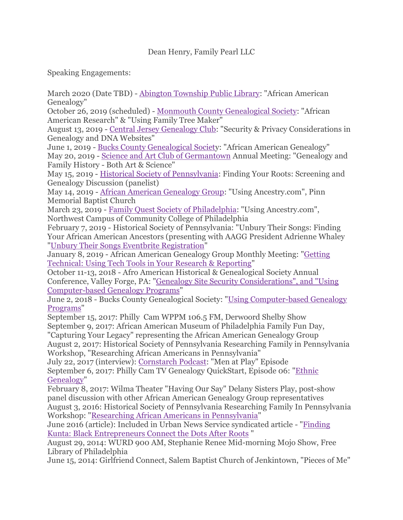Speaking Engagements:

March 2020 (Date TBD) - [Abington Township Public Library:](http://www.abingtonfreelibrary.org/) "African American Genealogy"

October 26, 2019 (scheduled) - [Monmouth County Genealogical Society:](http://njmcgs.org/) "African American Research" & "Using Family Tree Maker"

August 13, 2019 - [Central Jersey Genealogy Club:](http://www.cjgcnj.com/) "Security & Privacy Considerations in Genealogy and DNA Websites"

June 1, 2019 - [Bucks County Genealogical Society](https://www.bucksgen.org/): "African American Genealogy" May 20, 2019 - [Science and Art Club of Germantown](https://scienceandart.club/) Annual Meeting: "Genealogy and Family History - Both Art & Science"

May 15, 2019 - [Historical Society of Pennsylvania:](https://hsp.org/calendar/finding-your-roots-screening-and-genealogy-discussion) Finding Your Roots: Screening and Genealogy Discussion (panelist)

May 14, 2019 - [African American Genealogy Group:](https://deanhenry.wixsite.com/aagg/upcoming-events) "Using Ancestry.com", Pinn Memorial Baptist Church

March 23, 2019 - [Family Quest Society of Philadelphia:](https://www.facebook.com/groups/2019761651571610/) "Using Ancestry.com", Northwest Campus of Community College of Philadelphia

February 7, 2019 - Historical Society of Pennsylvania: "Unbury Their Songs: Finding Your African American Ancestors (presenting with AAGG President Adrienne Whaley ["Unbury Their Songs Eventbrite Registration"](https://www.eventbrite.com/e/unbury-their-songs-finding-your-african-american-ancestors-tickets-53152623929)

January 8, 2019 - African American Genealogy Group Monthly Meeting: ["Getting](https://www.facebook.com/events/611757119272683/)  [Technical: Using Tech Tools in Your Research & Reporting"](https://www.facebook.com/events/611757119272683/)

October 11-13, 2018 - Afro American Historical & Genealogical Society Annual Conference, Valley Forge, PA: ["Genealogy Site Security Considerations", and "Using](https://www.aahgs.org/index.cfm?fuseaction=Page.ViewPage&pageId=3126)  [Computer-based Genealogy Programs"](https://www.aahgs.org/index.cfm?fuseaction=Page.ViewPage&pageId=3126)

June 2, 2018 - Bucks County Genealogical Society: ["Using Computer-based Genealogy](https://www.bucksgen.org/index.php/bcgs-programs/477-june-2018-meeting)  [Programs"](https://www.bucksgen.org/index.php/bcgs-programs/477-june-2018-meeting)

September 15, 2017: Philly Cam WPPM 106.5 FM, Derwoord Shelby Show September 9, 2017: African American Museum of Philadelphia Family Fun Day, "Capturing Your Legacy" representing the African American Genealogy Group

August 2, 2017: Historical Society of Pennsylvania Researching Family in Pennsylvania Workshop, "Researching African Americans in Pennsylvania"

July 22, 2017 (interview): [Cornstarch Podcast:](https://cornstarch.libsyn.com/) "Men at Play" Episode September 6, 2017: Philly Cam TV Genealogy QuickStart, Episode 06: ["Ethnic](http://genealogyquickstart.com/ep06-ethnic-genealogy.html)  [Genealogy"](http://genealogyquickstart.com/ep06-ethnic-genealogy.html)

February 8, 2017: Wilma Theater "Having Our Say" Delany Sisters Play, post-show panel discussion with other African American Genealogy Group representatives August 3, 2016: Historical Society of Pennsylvania Researching Family In Pennsylvania Workshop: ["Researching African Americans in Pennsylvania"](https://hsp.org/sites/default/files/hsp_rfipa_curriculum_03312016.pdf)

June 2016 (article): Included in Urban News Service syndicated article - ["Finding](http://seattlemedium.com/finding-kunta-black-entrepreneurs-connect-the-dots-after-roots/)  [Kunta: Black Entrepreneurs Connect the Dots After Roots](http://seattlemedium.com/finding-kunta-black-entrepreneurs-connect-the-dots-after-roots/) "

August 29, 2014: WURD 900 AM, Stephanie Renee Mid-morning Mojo Show, Free Library of Philadelphia

June 15, 2014: Girlfriend Connect, Salem Baptist Church of Jenkintown, "Pieces of Me"